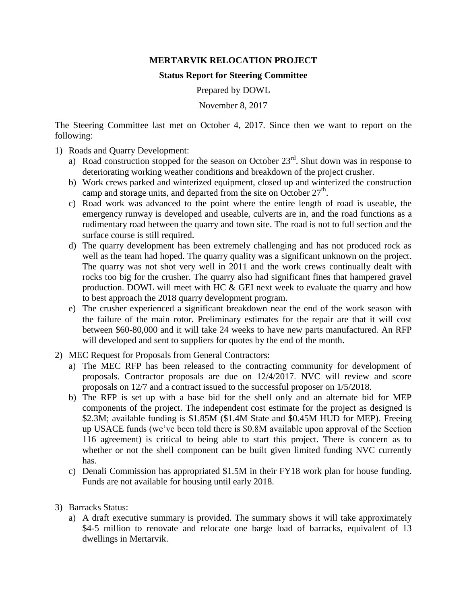## **MERTARVIK RELOCATION PROJECT**

## **Status Report for Steering Committee**

Prepared by DOWL

November 8, 2017

The Steering Committee last met on October 4, 2017. Since then we want to report on the following:

- 1) Roads and Quarry Development:
	- a) Road construction stopped for the season on October  $23<sup>rd</sup>$ . Shut down was in response to deteriorating working weather conditions and breakdown of the project crusher.
	- b) Work crews parked and winterized equipment, closed up and winterized the construction camp and storage units, and departed from the site on October  $27<sup>th</sup>$ .
	- c) Road work was advanced to the point where the entire length of road is useable, the emergency runway is developed and useable, culverts are in, and the road functions as a rudimentary road between the quarry and town site. The road is not to full section and the surface course is still required.
	- d) The quarry development has been extremely challenging and has not produced rock as well as the team had hoped. The quarry quality was a significant unknown on the project. The quarry was not shot very well in 2011 and the work crews continually dealt with rocks too big for the crusher. The quarry also had significant fines that hampered gravel production. DOWL will meet with HC & GEI next week to evaluate the quarry and how to best approach the 2018 quarry development program.
	- e) The crusher experienced a significant breakdown near the end of the work season with the failure of the main rotor. Preliminary estimates for the repair are that it will cost between \$60-80,000 and it will take 24 weeks to have new parts manufactured. An RFP will developed and sent to suppliers for quotes by the end of the month.
- 2) MEC Request for Proposals from General Contractors:
	- a) The MEC RFP has been released to the contracting community for development of proposals. Contractor proposals are due on 12/4/2017. NVC will review and score proposals on 12/7 and a contract issued to the successful proposer on 1/5/2018.
	- b) The RFP is set up with a base bid for the shell only and an alternate bid for MEP components of the project. The independent cost estimate for the project as designed is \$2.3M; available funding is \$1.85M (\$1.4M State and \$0.45M HUD for MEP). Freeing up USACE funds (we've been told there is \$0.8M available upon approval of the Section 116 agreement) is critical to being able to start this project. There is concern as to whether or not the shell component can be built given limited funding NVC currently has.
	- c) Denali Commission has appropriated \$1.5M in their FY18 work plan for house funding. Funds are not available for housing until early 2018.
- 3) Barracks Status:
	- a) A draft executive summary is provided. The summary shows it will take approximately \$4-5 million to renovate and relocate one barge load of barracks, equivalent of 13 dwellings in Mertarvik.